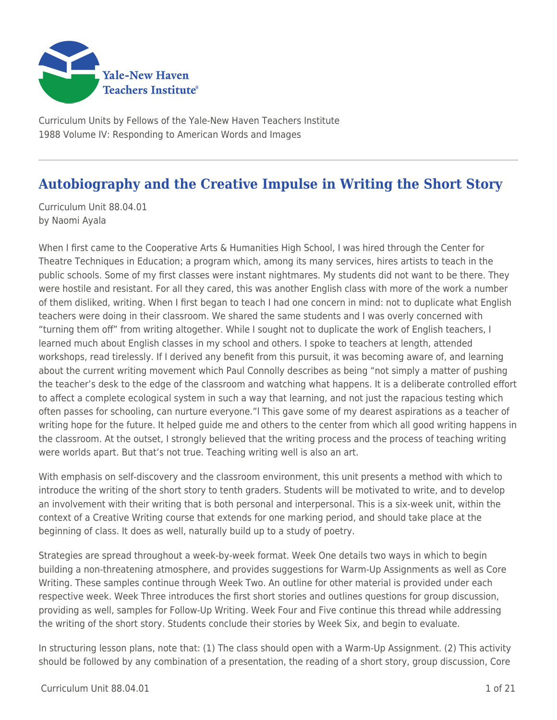

Curriculum Units by Fellows of the Yale-New Haven Teachers Institute 1988 Volume IV: Responding to American Words and Images

# **Autobiography and the Creative Impulse in Writing the Short Story**

Curriculum Unit 88.04.01 by Naomi Ayala

When I first came to the Cooperative Arts & Humanities High School, I was hired through the Center for Theatre Techniques in Education; a program which, among its many services, hires artists to teach in the public schools. Some of my first classes were instant nightmares. My students did not want to be there. They were hostile and resistant. For all they cared, this was another English class with more of the work a number of them disliked, writing. When I first began to teach I had one concern in mind: not to duplicate what English teachers were doing in their classroom. We shared the same students and I was overly concerned with "turning them off" from writing altogether. While I sought not to duplicate the work of English teachers, I learned much about English classes in my school and others. I spoke to teachers at length, attended workshops, read tirelessly. If I derived any benefit from this pursuit, it was becoming aware of, and learning about the current writing movement which Paul Connolly describes as being "not simply a matter of pushing the teacher's desk to the edge of the classroom and watching what happens. It is a deliberate controlled effort to affect a complete ecological system in such a way that learning, and not just the rapacious testing which often passes for schooling, can nurture everyone."l This gave some of my dearest aspirations as a teacher of writing hope for the future. It helped guide me and others to the center from which all good writing happens in the classroom. At the outset, I strongly believed that the writing process and the process of teaching writing were worlds apart. But that's not true. Teaching writing well is also an art.

With emphasis on self-discovery and the classroom environment, this unit presents a method with which to introduce the writing of the short story to tenth graders. Students will be motivated to write, and to develop an involvement with their writing that is both personal and interpersonal. This is a six-week unit, within the context of a Creative Writing course that extends for one marking period, and should take place at the beginning of class. It does as well, naturally build up to a study of poetry.

Strategies are spread throughout a week-by-week format. Week One details two ways in which to begin building a non-threatening atmosphere, and provides suggestions for Warm-Up Assignments as well as Core Writing. These samples continue through Week Two. An outline for other material is provided under each respective week. Week Three introduces the first short stories and outlines questions for group discussion, providing as well, samples for Follow-Up Writing. Week Four and Five continue this thread while addressing the writing of the short story. Students conclude their stories by Week Six, and begin to evaluate.

In structuring lesson plans, note that: (1) The class should open with a Warm-Up Assignment. (2) This activity should be followed by any combination of a presentation, the reading of a short story, group discussion, Core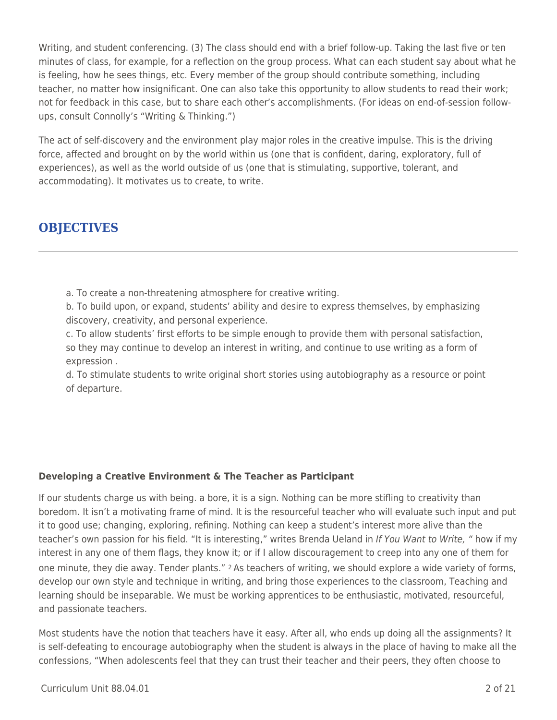Writing, and student conferencing. (3) The class should end with a brief follow-up. Taking the last five or ten minutes of class, for example, for a reflection on the group process. What can each student say about what he is feeling, how he sees things, etc. Every member of the group should contribute something, including teacher, no matter how insignificant. One can also take this opportunity to allow students to read their work; not for feedback in this case, but to share each other's accomplishments. (For ideas on end-of-session followups, consult Connolly's "Writing & Thinking.")

The act of self-discovery and the environment play major roles in the creative impulse. This is the driving force, affected and brought on by the world within us (one that is confident, daring, exploratory, full of experiences), as well as the world outside of us (one that is stimulating, supportive, tolerant, and accommodating). It motivates us to create, to write.

## **OBJECTIVES**

a. To create a non-threatening atmosphere for creative writing.

b. To build upon, or expand, students' ability and desire to express themselves, by emphasizing discovery, creativity, and personal experience.

c. To allow students' first efforts to be simple enough to provide them with personal satisfaction, so they may continue to develop an interest in writing, and continue to use writing as a form of expression .

d. To stimulate students to write original short stories using autobiography as a resource or point of departure.

### **Developing a Creative Environment & The Teacher as Participant**

If our students charge us with being. a bore, it is a sign. Nothing can be more stifling to creativity than boredom. It isn't a motivating frame of mind. It is the resourceful teacher who will evaluate such input and put it to good use; changing, exploring, refining. Nothing can keep a student's interest more alive than the teacher's own passion for his field. "It is interesting," writes Brenda Ueland in If You Want to Write, " how if my interest in any one of them flags, they know it; or if I allow discouragement to creep into any one of them for one minute, they die away. Tender plants." 2 As teachers of writing, we should explore a wide variety of forms, develop our own style and technique in writing, and bring those experiences to the classroom, Teaching and learning should be inseparable. We must be working apprentices to be enthusiastic, motivated, resourceful, and passionate teachers.

Most students have the notion that teachers have it easy. After all, who ends up doing all the assignments? It is self-defeating to encourage autobiography when the student is always in the place of having to make all the confessions, "When adolescents feel that they can trust their teacher and their peers, they often choose to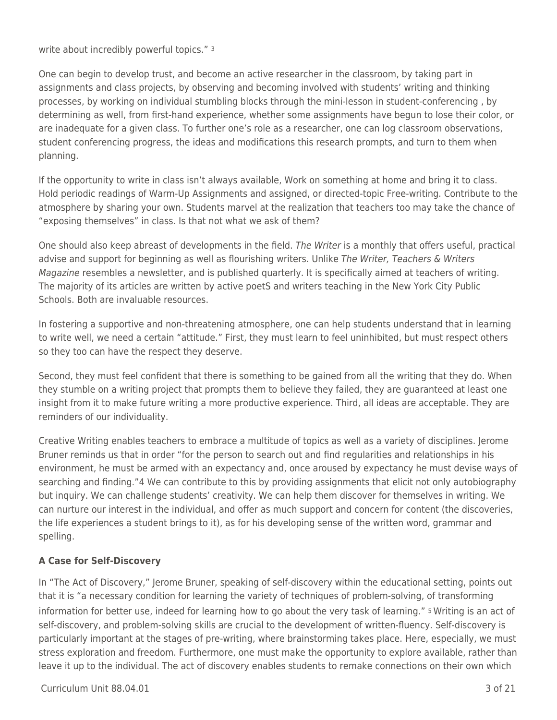write about incredibly powerful topics." <sup>3</sup>

One can begin to develop trust, and become an active researcher in the classroom, by taking part in assignments and class projects, by observing and becoming involved with students' writing and thinking processes, by working on individual stumbling blocks through the mini-lesson in student-conferencing , by determining as well, from first-hand experience, whether some assignments have begun to lose their color, or are inadequate for a given class. To further one's role as a researcher, one can log classroom observations, student conferencing progress, the ideas and modifications this research prompts, and turn to them when planning.

If the opportunity to write in class isn't always available, Work on something at home and bring it to class. Hold periodic readings of Warm-Up Assignments and assigned, or directed-topic Free-writing. Contribute to the atmosphere by sharing your own. Students marvel at the realization that teachers too may take the chance of "exposing themselves" in class. Is that not what we ask of them?

One should also keep abreast of developments in the field. The Writer is a monthly that offers useful, practical advise and support for beginning as well as flourishing writers. Unlike The Writer, Teachers & Writers Magazine resembles a newsletter, and is published quarterly. It is specifically aimed at teachers of writing. The majority of its articles are written by active poetS and writers teaching in the New York City Public Schools. Both are invaluable resources.

In fostering a supportive and non-threatening atmosphere, one can help students understand that in learning to write well, we need a certain "attitude." First, they must learn to feel uninhibited, but must respect others so they too can have the respect they deserve.

Second, they must feel confident that there is something to be gained from all the writing that they do. When they stumble on a writing project that prompts them to believe they failed, they are guaranteed at least one insight from it to make future writing a more productive experience. Third, all ideas are acceptable. They are reminders of our individuality.

Creative Writing enables teachers to embrace a multitude of topics as well as a variety of disciplines. Jerome Bruner reminds us that in order "for the person to search out and find regularities and relationships in his environment, he must be armed with an expectancy and, once aroused by expectancy he must devise ways of searching and finding."4 We can contribute to this by providing assignments that elicit not only autobiography but inquiry. We can challenge students' creativity. We can help them discover for themselves in writing. We can nurture our interest in the individual, and offer as much support and concern for content (the discoveries, the life experiences a student brings to it), as for his developing sense of the written word, grammar and spelling.

### **A Case for Self-Discovery**

In "The Act of Discovery," Jerome Bruner, speaking of self-discovery within the educational setting, points out that it is "a necessary condition for learning the variety of techniques of problem-solving, of transforming information for better use, indeed for learning how to go about the very task of learning." 5 Writing is an act of self-discovery, and problem-solving skills are crucial to the development of written-fluency. Self-discovery is particularly important at the stages of pre-writing, where brainstorming takes place. Here, especially, we must stress exploration and freedom. Furthermore, one must make the opportunity to explore available, rather than leave it up to the individual. The act of discovery enables students to remake connections on their own which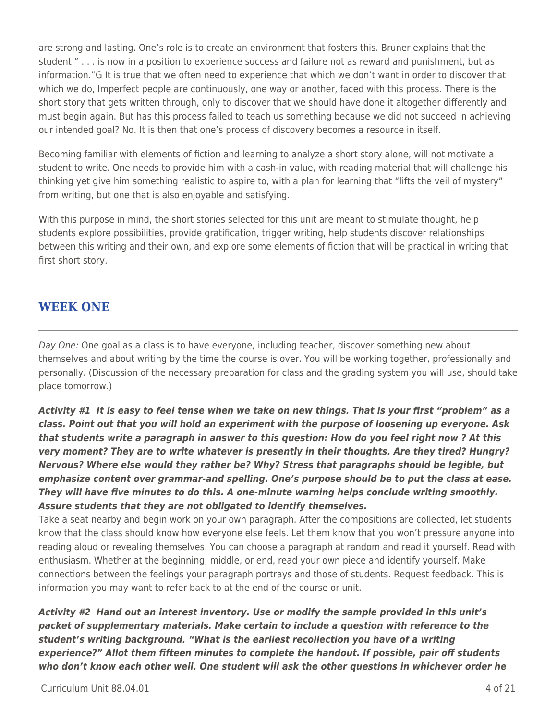are strong and lasting. One's role is to create an environment that fosters this. Bruner explains that the student " . . . is now in a position to experience success and failure not as reward and punishment, but as information."G It is true that we often need to experience that which we don't want in order to discover that which we do, Imperfect people are continuously, one way or another, faced with this process. There is the short story that gets written through, only to discover that we should have done it altogether differently and must begin again. But has this process failed to teach us something because we did not succeed in achieving our intended goal? No. It is then that one's process of discovery becomes a resource in itself.

Becoming familiar with elements of fiction and learning to analyze a short story alone, will not motivate a student to write. One needs to provide him with a cash-in value, with reading material that will challenge his thinking yet give him something realistic to aspire to, with a plan for learning that "lifts the veil of mystery" from writing, but one that is also enjoyable and satisfying.

With this purpose in mind, the short stories selected for this unit are meant to stimulate thought, help students explore possibilities, provide gratification, trigger writing, help students discover relationships between this writing and their own, and explore some elements of fiction that will be practical in writing that first short story.

## **WEEK ONE**

Day One: One goal as a class is to have everyone, including teacher, discover something new about themselves and about writing by the time the course is over. You will be working together, professionally and personally. (Discussion of the necessary preparation for class and the grading system you will use, should take place tomorrow.)

*Activity #1 It is easy to feel tense when we take on new things. That is your first "problem" as a class. Point out that you will hold an experiment with the purpose of loosening up everyone. Ask that students write a paragraph in answer to this question: How do you feel right now ? At this very moment? They are to write whatever is presently in their thoughts. Are they tired? Hungry? Nervous? Where else would they rather be? Why? Stress that paragraphs should be legible, but emphasize content over grammar-and spelling. One's purpose should be to put the class at ease. They will have five minutes to do this. A one-minute warning helps conclude writing smoothly. Assure students that they are not obligated to identify themselves.*

Take a seat nearby and begin work on your own paragraph. After the compositions are collected, let students know that the class should know how everyone else feels. Let them know that you won't pressure anyone into reading aloud or revealing themselves. You can choose a paragraph at random and read it yourself. Read with enthusiasm. Whether at the beginning, middle, or end, read your own piece and identify yourself. Make connections between the feelings your paragraph portrays and those of students. Request feedback. This is information you may want to refer back to at the end of the course or unit.

*Activity #2 Hand out an interest inventory. Use or modify the sample provided in this unit's packet of supplementary materials. Make certain to include a question with reference to the student's writing background. "What is the earliest recollection you have of a writing experience?" Allot them fifteen minutes to complete the handout. If possible, pair off students who don't know each other well. One student will ask the other questions in whichever order he*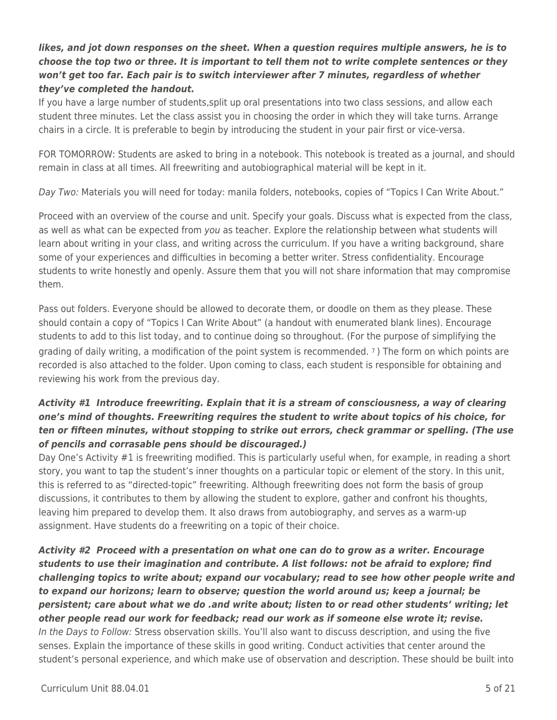### *likes, and jot down responses on the sheet. When a question requires multiple answers, he is to choose the top two or three. It is important to tell them not to write complete sentences or they won't get too far. Each pair is to switch interviewer after 7 minutes, regardless of whether they've completed the handout.*

If you have a large number of students,split up oral presentations into two class sessions, and allow each student three minutes. Let the class assist you in choosing the order in which they will take turns. Arrange chairs in a circle. It is preferable to begin by introducing the student in your pair first or vice-versa.

FOR TOMORROW: Students are asked to bring in a notebook. This notebook is treated as a journal, and should remain in class at all times. All freewriting and autobiographical material will be kept in it.

Day Two: Materials you will need for today: manila folders, notebooks, copies of "Topics I Can Write About."

Proceed with an overview of the course and unit. Specify your goals. Discuss what is expected from the class, as well as what can be expected from you as teacher. Explore the relationship between what students will learn about writing in your class, and writing across the curriculum. If you have a writing background, share some of your experiences and difficulties in becoming a better writer. Stress confidentiality. Encourage students to write honestly and openly. Assure them that you will not share information that may compromise them.

Pass out folders. Everyone should be allowed to decorate them, or doodle on them as they please. These should contain a copy of "Topics I Can Write About" (a handout with enumerated blank lines). Encourage students to add to this list today, and to continue doing so throughout. (For the purpose of simplifying the grading of daily writing, a modification of the point system is recommended. 7 ) The form on which points are recorded is also attached to the folder. Upon coming to class, each student is responsible for obtaining and reviewing his work from the previous day.

### *Activity #1 Introduce freewriting. Explain that it is a stream of consciousness, a way of clearing one's mind of thoughts. Freewriting requires the student to write about topics of his choice, for ten or fifteen minutes, without stopping to strike out errors, check grammar or spelling. (The use of pencils and corrasable pens should be discouraged.)*

Day One's Activity #1 is freewriting modified. This is particularly useful when, for example, in reading a short story, you want to tap the student's inner thoughts on a particular topic or element of the story. In this unit, this is referred to as "directed-topic" freewriting. Although freewriting does not form the basis of group discussions, it contributes to them by allowing the student to explore, gather and confront his thoughts, leaving him prepared to develop them. It also draws from autobiography, and serves as a warm-up assignment. Have students do a freewriting on a topic of their choice.

*Activity #2 Proceed with a presentation on what one can do to grow as a writer. Encourage students to use their imagination and contribute. A list follows: not be afraid to explore; find challenging topics to write about; expand our vocabulary; read to see how other people write and to expand our horizons; learn to observe; question the world around us; keep a journal; be persistent; care about what we do .and write about; listen to or read other students' writing; let other people read our work for feedback; read our work as if someone else wrote it; revise.* In the Days to Follow: Stress observation skills. You'll also want to discuss description, and using the five senses. Explain the importance of these skills in good writing. Conduct activities that center around the student's personal experience, and which make use of observation and description. These should be built into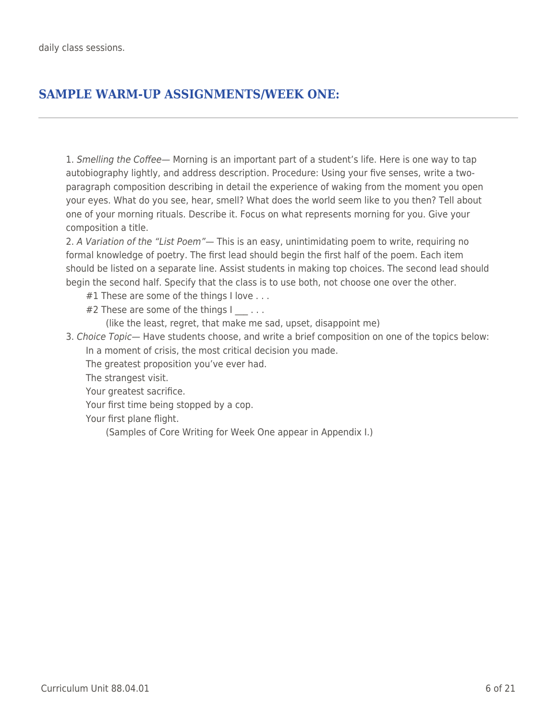# **SAMPLE WARM-UP ASSIGNMENTS/WEEK ONE:**

1. Smelling the Coffee— Morning is an important part of a student's life. Here is one way to tap autobiography lightly, and address description. Procedure: Using your five senses, write a twoparagraph composition describing in detail the experience of waking from the moment you open your eyes. What do you see, hear, smell? What does the world seem like to you then? Tell about one of your morning rituals. Describe it. Focus on what represents morning for you. Give your composition a title.

2. A Variation of the "List Poem"— This is an easy, unintimidating poem to write, requiring no formal knowledge of poetry. The first lead should begin the first half of the poem. Each item should be listed on a separate line. Assist students in making top choices. The second lead should begin the second half. Specify that the class is to use both, not choose one over the other.

- $#1$  These are some of the things I love  $\ldots$
- #2 These are some of the things  $| \cdot |$ ...

(like the least, regret, that make me sad, upset, disappoint me)

3. Choice Topic— Have students choose, and write a brief composition on one of the topics below: In a moment of crisis, the most critical decision you made.

The greatest proposition you've ever had.

The strangest visit.

Your greatest sacrifice.

Your first time being stopped by a cop.

Your first plane flight.

(Samples of Core Writing for Week One appear in Appendix I.)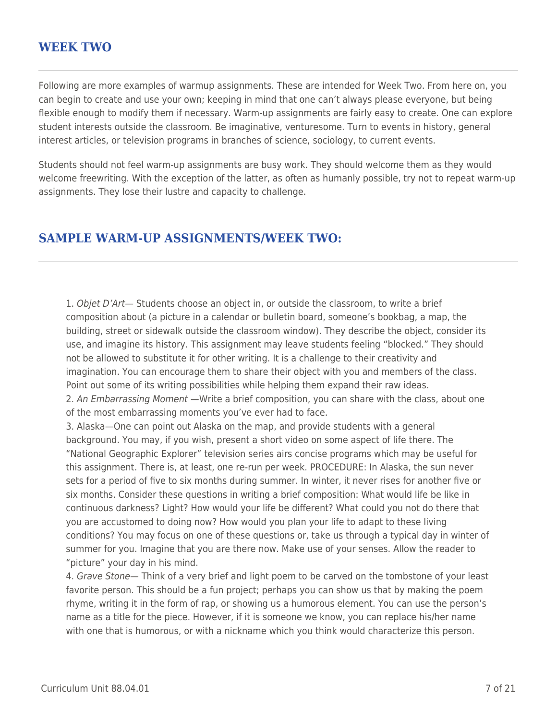### **WEEK TWO**

Following are more examples of warmup assignments. These are intended for Week Two. From here on, you can begin to create and use your own; keeping in mind that one can't always please everyone, but being flexible enough to modify them if necessary. Warm-up assignments are fairly easy to create. One can explore student interests outside the classroom. Be imaginative, venturesome. Turn to events in history, general interest articles, or television programs in branches of science, sociology, to current events.

Students should not feel warm-up assignments are busy work. They should welcome them as they would welcome freewriting. With the exception of the latter, as often as humanly possible, try not to repeat warm-up assignments. They lose their lustre and capacity to challenge.

### **SAMPLE WARM-UP ASSIGNMENTS/WEEK TWO:**

1. Objet D'Art- Students choose an object in, or outside the classroom, to write a brief composition about (a picture in a calendar or bulletin board, someone's bookbag, a map, the building, street or sidewalk outside the classroom window). They describe the object, consider its use, and imagine its history. This assignment may leave students feeling "blocked." They should not be allowed to substitute it for other writing. It is a challenge to their creativity and imagination. You can encourage them to share their object with you and members of the class. Point out some of its writing possibilities while helping them expand their raw ideas.

2. An Embarrassing Moment —Write a brief composition, you can share with the class, about one of the most embarrassing moments you've ever had to face.

3. Alaska—One can point out Alaska on the map, and provide students with a general background. You may, if you wish, present a short video on some aspect of life there. The "National Geographic Explorer" television series airs concise programs which may be useful for this assignment. There is, at least, one re-run per week. PROCEDURE: In Alaska, the sun never sets for a period of five to six months during summer. In winter, it never rises for another five or six months. Consider these questions in writing a brief composition: What would life be like in continuous darkness? Light? How would your life be different? What could you not do there that you are accustomed to doing now? How would you plan your life to adapt to these living conditions? You may focus on one of these questions or, take us through a typical day in winter of summer for you. Imagine that you are there now. Make use of your senses. Allow the reader to "picture" your day in his mind.

4. Grave Stone— Think of a very brief and light poem to be carved on the tombstone of your least favorite person. This should be a fun project; perhaps you can show us that by making the poem rhyme, writing it in the form of rap, or showing us a humorous element. You can use the person's name as a title for the piece. However, if it is someone we know, you can replace his/her name with one that is humorous, or with a nickname which you think would characterize this person.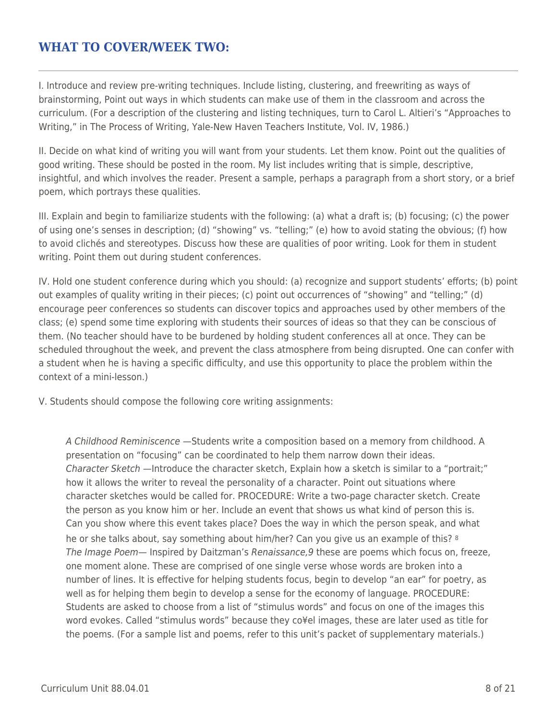## **WHAT TO COVER/WEEK TWO:**

I. Introduce and review pre-writing techniques. Include listing, clustering, and freewriting as ways of brainstorming, Point out ways in which students can make use of them in the classroom and across the curriculum. (For a description of the clustering and listing techniques, turn to Carol L. Altieri's "Approaches to Writing," in The Process of Writing, Yale-New Haven Teachers Institute, Vol. IV, 1986.)

II. Decide on what kind of writing you will want from your students. Let them know. Point out the qualities of good writing. These should be posted in the room. My list includes writing that is simple, descriptive, insightful, and which involves the reader. Present a sample, perhaps a paragraph from a short story, or a brief poem, which portrays these qualities.

III. Explain and begin to familiarize students with the following: (a) what a draft is; (b) focusing; (c) the power of using one's senses in description; (d) "showing" vs. "telling;" (e) how to avoid stating the obvious; (f) how to avoid clichés and stereotypes. Discuss how these are qualities of poor writing. Look for them in student writing. Point them out during student conferences.

IV. Hold one student conference during which you should: (a) recognize and support students' efforts; (b) point out examples of quality writing in their pieces; (c) point out occurrences of "showing" and "telling;" (d) encourage peer conferences so students can discover topics and approaches used by other members of the class; (e) spend some time exploring with students their sources of ideas so that they can be conscious of them. (No teacher should have to be burdened by holding student conferences all at once. They can be scheduled throughout the week, and prevent the class atmosphere from being disrupted. One can confer with a student when he is having a specific difficulty, and use this opportunity to place the problem within the context of a mini-lesson.)

V. Students should compose the following core writing assignments:

A Childhood Reminiscence —Students write a composition based on a memory from childhood. A presentation on "focusing" can be coordinated to help them narrow down their ideas. Character Sketch —Introduce the character sketch, Explain how a sketch is similar to a "portrait;" how it allows the writer to reveal the personality of a character. Point out situations where character sketches would be called for. PROCEDURE: Write a two-page character sketch. Create the person as you know him or her. Include an event that shows us what kind of person this is. Can you show where this event takes place? Does the way in which the person speak, and what he or she talks about, say something about him/her? Can you give us an example of this? <sup>8</sup> The Image Poem— Inspired by Daitzman's Renaissance,9 these are poems which focus on, freeze, one moment alone. These are comprised of one single verse whose words are broken into a number of lines. It is effective for helping students focus, begin to develop "an ear" for poetry, as well as for helping them begin to develop a sense for the economy of language. PROCEDURE: Students are asked to choose from a list of "stimulus words" and focus on one of the images this word evokes. Called "stimulus words" because they co¥el images, these are later used as title for the poems. (For a sample list and poems, refer to this unit's packet of supplementary materials.)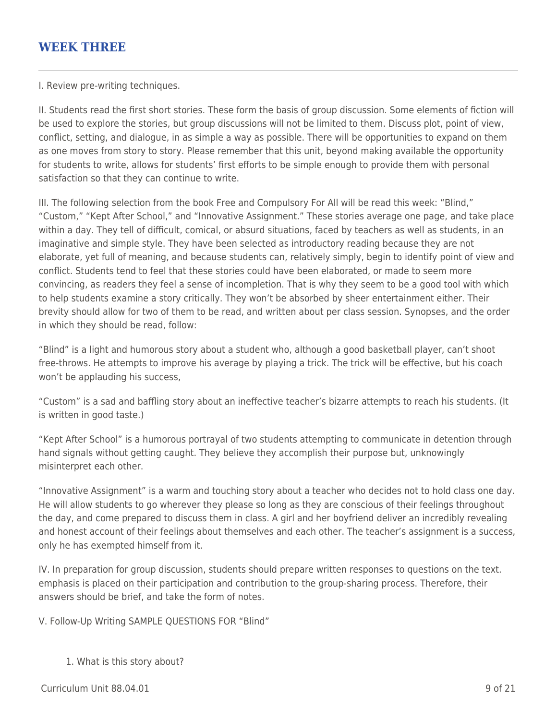### **WEEK THREE**

I. Review pre-writing techniques.

II. Students read the first short stories. These form the basis of group discussion. Some elements of fiction will be used to explore the stories, but group discussions will not be limited to them. Discuss plot, point of view, conflict, setting, and dialogue, in as simple a way as possible. There will be opportunities to expand on them as one moves from story to story. Please remember that this unit, beyond making available the opportunity for students to write, allows for students' first efforts to be simple enough to provide them with personal satisfaction so that they can continue to write.

III. The following selection from the book Free and Compulsory For All will be read this week: "Blind," "Custom," "Kept After School," and "Innovative Assignment." These stories average one page, and take place within a day. They tell of difficult, comical, or absurd situations, faced by teachers as well as students, in an imaginative and simple style. They have been selected as introductory reading because they are not elaborate, yet full of meaning, and because students can, relatively simply, begin to identify point of view and conflict. Students tend to feel that these stories could have been elaborated, or made to seem more convincing, as readers they feel a sense of incompletion. That is why they seem to be a good tool with which to help students examine a story critically. They won't be absorbed by sheer entertainment either. Their brevity should allow for two of them to be read, and written about per class session. Synopses, and the order in which they should be read, follow:

"Blind" is a light and humorous story about a student who, although a good basketball player, can't shoot free-throws. He attempts to improve his average by playing a trick. The trick will be effective, but his coach won't be applauding his success,

"Custom" is a sad and baffling story about an ineffective teacher's bizarre attempts to reach his students. (It is written in good taste.)

"Kept After School" is a humorous portrayal of two students attempting to communicate in detention through hand signals without getting caught. They believe they accomplish their purpose but, unknowingly misinterpret each other.

"Innovative Assignment" is a warm and touching story about a teacher who decides not to hold class one day. He will allow students to go wherever they please so long as they are conscious of their feelings throughout the day, and come prepared to discuss them in class. A girl and her boyfriend deliver an incredibly revealing and honest account of their feelings about themselves and each other. The teacher's assignment is a success, only he has exempted himself from it.

IV. In preparation for group discussion, students should prepare written responses to questions on the text. emphasis is placed on their participation and contribution to the group-sharing process. Therefore, their answers should be brief, and take the form of notes.

V. Follow-Up Writing SAMPLE QUESTIONS FOR "Blind"

1. What is this story about?

 $C$ urriculum Unit 88.04.01 9 of 21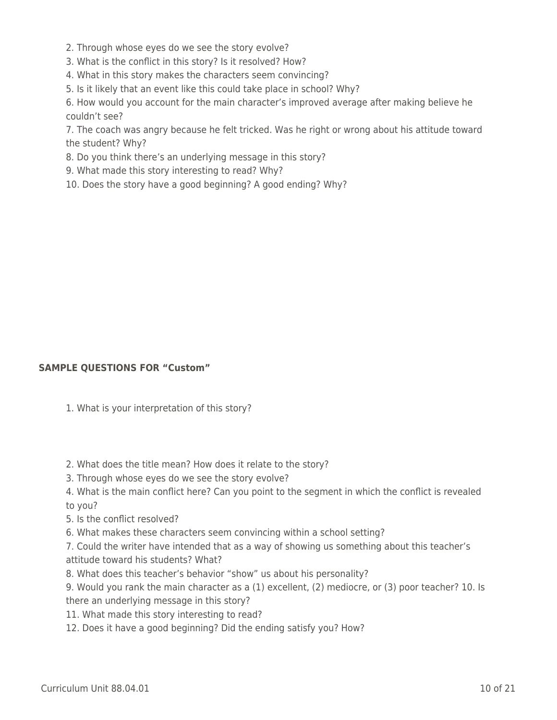2. Through whose eyes do we see the story evolve?

3. What is the conflict in this story? Is it resolved? How?

4. What in this story makes the characters seem convincing?

5. Is it likely that an event like this could take place in school? Why?

6. How would you account for the main character's improved average after making believe he couldn't see?

7. The coach was angry because he felt tricked. Was he right or wrong about his attitude toward the student? Why?

8. Do you think there's an underlying message in this story?

- 9. What made this story interesting to read? Why?
- 10. Does the story have a good beginning? A good ending? Why?

#### **SAMPLE QUESTIONS FOR "Custom"**

- 1. What is your interpretation of this story?
- 2. What does the title mean? How does it relate to the story?
- 3. Through whose eyes do we see the story evolve?
- 4. What is the main conflict here? Can you point to the segment in which the conflict is revealed to you?
- 5. Is the conflict resolved?
- 6. What makes these characters seem convincing within a school setting?

7. Could the writer have intended that as a way of showing us something about this teacher's attitude toward his students? What?

8. What does this teacher's behavior "show" us about his personality?

9. Would you rank the main character as a (1) excellent, (2) mediocre, or (3) poor teacher? 10. Is there an underlying message in this story?

- 11. What made this story interesting to read?
- 12. Does it have a good beginning? Did the ending satisfy you? How?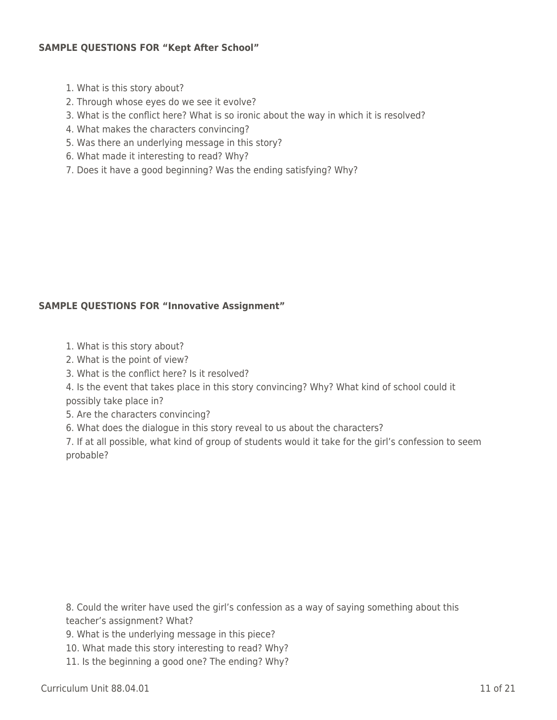#### **SAMPLE QUESTIONS FOR "Kept After School"**

- 1. What is this story about?
- 2. Through whose eyes do we see it evolve?
- 3. What is the conflict here? What is so ironic about the way in which it is resolved?
- 4. What makes the characters convincing?
- 5. Was there an underlying message in this story?
- 6. What made it interesting to read? Why?
- 7. Does it have a good beginning? Was the ending satisfying? Why?

### **SAMPLE QUESTIONS FOR "Innovative Assignment"**

- 1. What is this story about?
- 2. What is the point of view?
- 3. What is the conflict here? Is it resolved?
- 4. Is the event that takes place in this story convincing? Why? What kind of school could it possibly take place in?
- 5. Are the characters convincing?
- 6. What does the dialogue in this story reveal to us about the characters?

7. If at all possible, what kind of group of students would it take for the girl's confession to seem probable?

8. Could the writer have used the girl's confession as a way of saying something about this teacher's assignment? What?

- 9. What is the underlying message in this piece?
- 10. What made this story interesting to read? Why?
- 11. Is the beginning a good one? The ending? Why?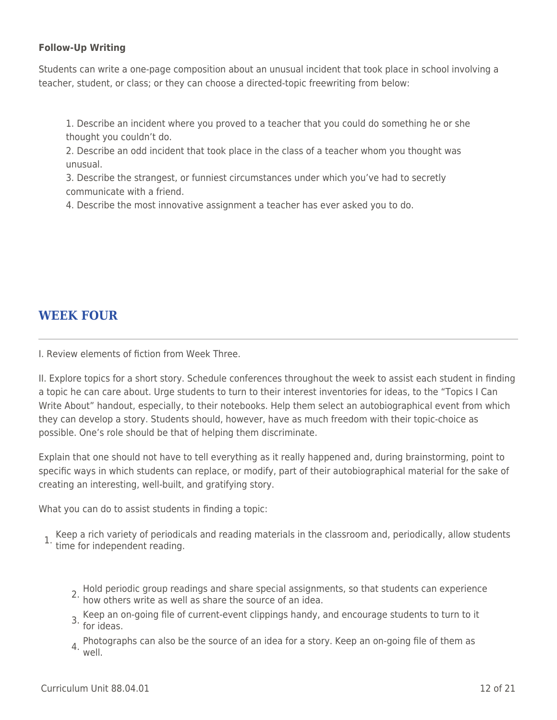#### **Follow-Up Writing**

Students can write a one-page composition about an unusual incident that took place in school involving a teacher, student, or class; or they can choose a directed-topic freewriting from below:

1. Describe an incident where you proved to a teacher that you could do something he or she thought you couldn't do.

2. Describe an odd incident that took place in the class of a teacher whom you thought was unusual.

3. Describe the strangest, or funniest circumstances under which you've had to secretly communicate with a friend.

4. Describe the most innovative assignment a teacher has ever asked you to do.

## **WEEK FOUR**

I. Review elements of fiction from Week Three.

II. Explore topics for a short story. Schedule conferences throughout the week to assist each student in finding a topic he can care about. Urge students to turn to their interest inventories for ideas, to the "Topics I Can Write About" handout, especially, to their notebooks. Help them select an autobiographical event from which they can develop a story. Students should, however, have as much freedom with their topic-choice as possible. One's role should be that of helping them discriminate.

Explain that one should not have to tell everything as it really happened and, during brainstorming, point to specific ways in which students can replace, or modify, part of their autobiographical material for the sake of creating an interesting, well-built, and gratifying story.

What you can do to assist students in finding a topic:

1. Keep a rich variety of periodicals and reading materials in the classroom and, periodically, allow students time for independent reading.

- 2. Hold periodic group readings and share special assignments, so that students can experience how others write as well as share the source of an idea.
- 3. Keep an on-going file of current-event clippings handy, and encourage students to turn to it for ideas.
- 4. Photographs can also be the source of an idea for a story. Keep an on-going file of them as well.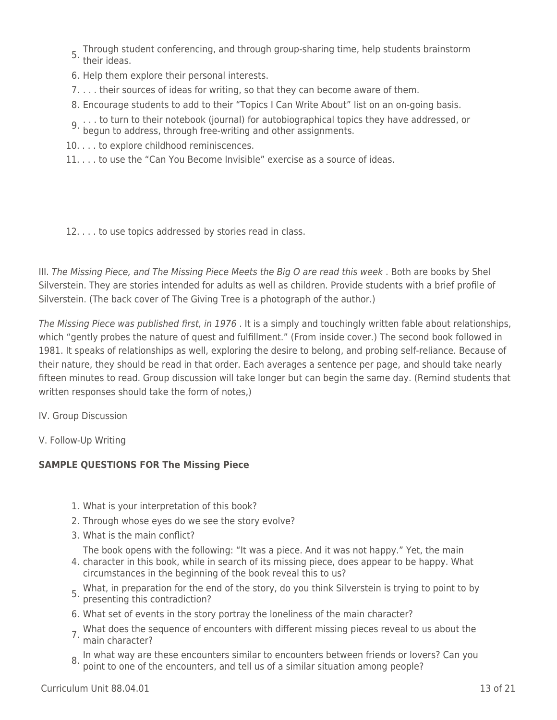- 5. Through student conferencing, and through group-sharing time, help students brainstorm their ideas.
- 6. Help them explore their personal interests.
- 7. . . . their sources of ideas for writing, so that they can become aware of them.
- 8. Encourage students to add to their "Topics I Can Write About" list on an on-going basis.
- 9. . . . to turn to their notebook (journal) for autobiographical topics they have addressed, or
- begun to address, through free-writing and other assignments.
- 10. . . . to explore childhood reminiscences.
- 11. . . . to use the "Can You Become Invisible" exercise as a source of ideas.

12. . . . to use topics addressed by stories read in class.

III. The Missing Piece, and The Missing Piece Meets the Big O are read this week . Both are books by Shel Silverstein. They are stories intended for adults as well as children. Provide students with a brief profile of Silverstein. (The back cover of The Giving Tree is a photograph of the author.)

The Missing Piece was published first, in 1976 . It is a simply and touchingly written fable about relationships, which "gently probes the nature of quest and fulfillment." (From inside cover.) The second book followed in 1981. It speaks of relationships as well, exploring the desire to belong, and probing self-reliance. Because of their nature, they should be read in that order. Each averages a sentence per page, and should take nearly fifteen minutes to read. Group discussion will take longer but can begin the same day. (Remind students that written responses should take the form of notes,)

IV. Group Discussion

V. Follow-Up Writing

### **SAMPLE QUESTIONS FOR The Missing Piece**

- 1. What is your interpretation of this book?
- 2. Through whose eyes do we see the story evolve?
- 3. What is the main conflict?

The book opens with the following: "It was a piece. And it was not happy." Yet, the main

- 4. character in this book, while in search of its missing piece, does appear to be happy. What circumstances in the beginning of the book reveal this to us?
- 5. What, in preparation for the end of the story, do you think Silverstein is trying to point to by presenting this contradiction?
- 6. What set of events in the story portray the loneliness of the main character?
- 7. What does the sequence of encounters with different missing pieces reveal to us about the main character?
- 8. In what way are these encounters similar to encounters between friends or lovers? Can you point to one of the encounters, and tell us of a similar situation among people?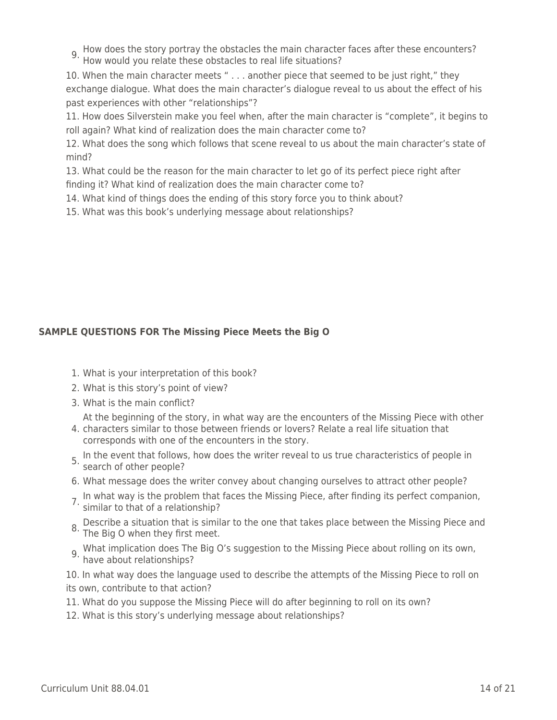9. How does the story portray the obstacles the main character faces after these encounters? How would you relate these obstacles to real life situations?

10. When the main character meets " . . . another piece that seemed to be just right," they exchange dialogue. What does the main character's dialogue reveal to us about the effect of his past experiences with other "relationships"?

11. How does Silverstein make you feel when, after the main character is "complete", it begins to roll again? What kind of realization does the main character come to?

12. What does the song which follows that scene reveal to us about the main character's state of mind?

13. What could be the reason for the main character to let go of its perfect piece right after finding it? What kind of realization does the main character come to?

14. What kind of things does the ending of this story force you to think about?

15. What was this book's underlying message about relationships?

### **SAMPLE QUESTIONS FOR The Missing Piece Meets the Big O**

- 1. What is your interpretation of this book?
- 2. What is this story's point of view?
- 3. What is the main conflict?
	- At the beginning of the story, in what way are the encounters of the Missing Piece with other
- 4. characters similar to those between friends or lovers? Relate a real life situation that corresponds with one of the encounters in the story.
- 5. In the event that follows, how does the writer reveal to us true characteristics of people in search of other people?
- 6. What message does the writer convey about changing ourselves to attract other people?
- 7. In what way is the problem that faces the Missing Piece, after finding its perfect companion, similar to that of a relationship?
- 8. Describe a situation that is similar to the one that takes place between the Missing Piece and The Big O when they first meet.
- What implication does The Big O's suggestion to the Missing Piece about rolling on its own, 9. What improves the straight part

10. In what way does the language used to describe the attempts of the Missing Piece to roll on its own, contribute to that action?

- 11. What do you suppose the Missing Piece will do after beginning to roll on its own?
- 12. What is this story's underlying message about relationships?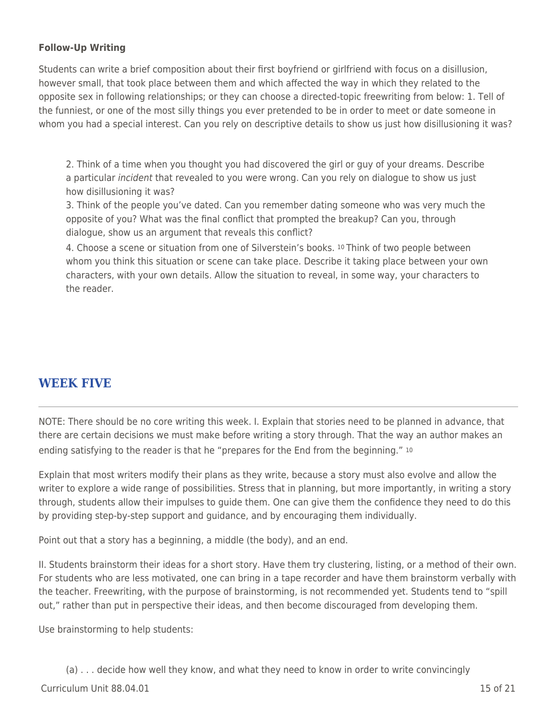### **Follow-Up Writing**

Students can write a brief composition about their first boyfriend or girlfriend with focus on a disillusion, however small, that took place between them and which affected the way in which they related to the opposite sex in following relationships; or they can choose a directed-topic freewriting from below: 1. Tell of the funniest, or one of the most silly things you ever pretended to be in order to meet or date someone in whom you had a special interest. Can you rely on descriptive details to show us just how disillusioning it was?

2. Think of a time when you thought you had discovered the girl or guy of your dreams. Describe a particular *incident* that revealed to you were wrong. Can you rely on dialogue to show us just how disillusioning it was?

3. Think of the people you've dated. Can you remember dating someone who was very much the opposite of you? What was the final conflict that prompted the breakup? Can you, through dialogue, show us an argument that reveals this conflict?

4. Choose a scene or situation from one of Silverstein's books. 10 Think of two people between whom you think this situation or scene can take place. Describe it taking place between your own characters, with your own details. Allow the situation to reveal, in some way, your characters to the reader.

## **WEEK FIVE**

NOTE: There should be no core writing this week. I. Explain that stories need to be planned in advance, that there are certain decisions we must make before writing a story through. That the way an author makes an ending satisfying to the reader is that he "prepares for the End from the beginning." <sup>10</sup>

Explain that most writers modify their plans as they write, because a story must also evolve and allow the writer to explore a wide range of possibilities. Stress that in planning, but more importantly, in writing a story through, students allow their impulses to guide them. One can give them the confidence they need to do this by providing step-by-step support and guidance, and by encouraging them individually.

Point out that a story has a beginning, a middle (the body), and an end.

II. Students brainstorm their ideas for a short story. Have them try clustering, listing, or a method of their own. For students who are less motivated, one can bring in a tape recorder and have them brainstorm verbally with the teacher. Freewriting, with the purpose of brainstorming, is not recommended yet. Students tend to "spill out," rather than put in perspective their ideas, and then become discouraged from developing them.

Use brainstorming to help students:

 $C$ urriculum Unit 88.04.01 15 of 21 (a) . . . decide how well they know, and what they need to know in order to write convincingly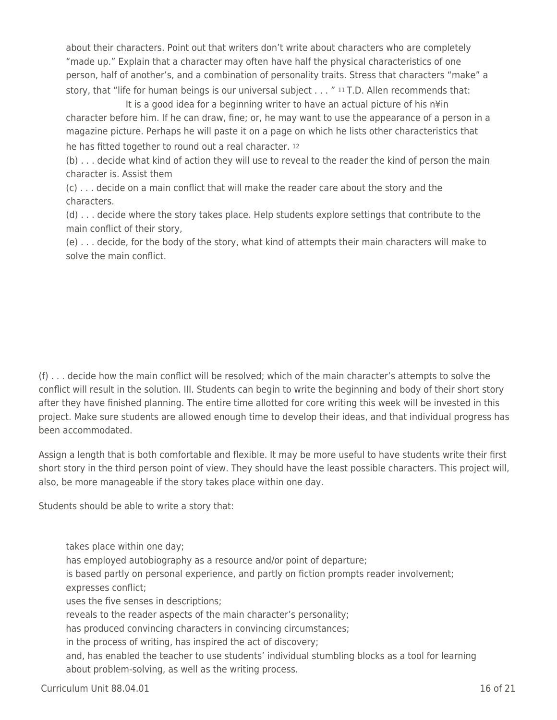about their characters. Point out that writers don't write about characters who are completely "made up." Explain that a character may often have half the physical characteristics of one person, half of another's, and a combination of personality traits. Stress that characters "make" a story, that "life for human beings is our universal subject . . . " 11 T.D. Allen recommends that:

It is a good idea for a beginning writer to have an actual picture of his n¥in character before him. If he can draw, fine; or, he may want to use the appearance of a person in a magazine picture. Perhaps he will paste it on a page on which he lists other characteristics that he has fitted together to round out a real character. <sup>12</sup>

(b) . . . decide what kind of action they will use to reveal to the reader the kind of person the main character is. Assist them

(c) . . . decide on a main conflict that will make the reader care about the story and the characters.

(d) . . . decide where the story takes place. Help students explore settings that contribute to the main conflict of their story,

(e) . . . decide, for the body of the story, what kind of attempts their main characters will make to solve the main conflict.

(f) . . . decide how the main conflict will be resolved; which of the main character's attempts to solve the conflict will result in the solution. III. Students can begin to write the beginning and body of their short story after they have finished planning. The entire time allotted for core writing this week will be invested in this project. Make sure students are allowed enough time to develop their ideas, and that individual progress has been accommodated.

Assign a length that is both comfortable and flexible. It may be more useful to have students write their first short story in the third person point of view. They should have the least possible characters. This project will, also, be more manageable if the story takes place within one day.

Students should be able to write a story that:

takes place within one day; has employed autobiography as a resource and/or point of departure; is based partly on personal experience, and partly on fiction prompts reader involvement; expresses conflict; uses the five senses in descriptions; reveals to the reader aspects of the main character's personality; has produced convincing characters in convincing circumstances; in the process of writing, has inspired the act of discovery; and, has enabled the teacher to use students' individual stumbling blocks as a tool for learning about problem-solving, as well as the writing process.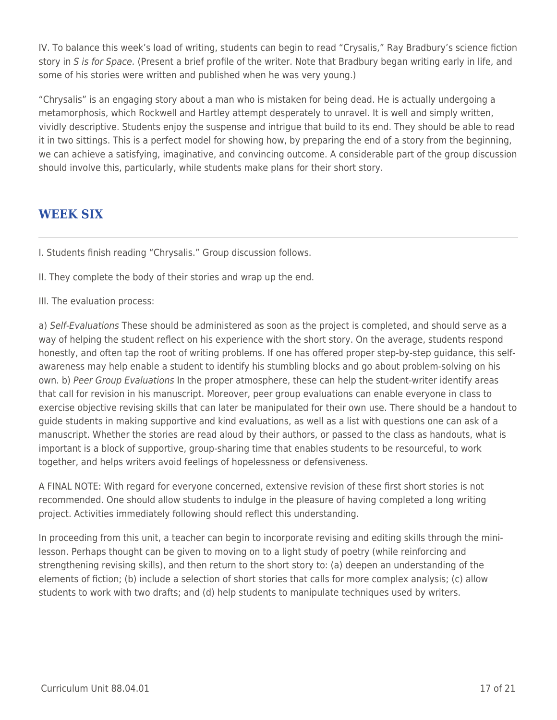IV. To balance this week's load of writing, students can begin to read "Crysalis," Ray Bradbury's science fiction story in S is for Space. (Present a brief profile of the writer. Note that Bradbury began writing early in life, and some of his stories were written and published when he was very young.)

"Chrysalis" is an engaging story about a man who is mistaken for being dead. He is actually undergoing a metamorphosis, which Rockwell and Hartley attempt desperately to unravel. It is well and simply written, vividly descriptive. Students enjoy the suspense and intrigue that build to its end. They should be able to read it in two sittings. This is a perfect model for showing how, by preparing the end of a story from the beginning, we can achieve a satisfying, imaginative, and convincing outcome. A considerable part of the group discussion should involve this, particularly, while students make plans for their short story.

## **WEEK SIX**

I. Students finish reading "Chrysalis." Group discussion follows.

- II. They complete the body of their stories and wrap up the end.
- III. The evaluation process:

a) Self-Evaluations These should be administered as soon as the project is completed, and should serve as a way of helping the student reflect on his experience with the short story. On the average, students respond honestly, and often tap the root of writing problems. If one has offered proper step-by-step guidance, this selfawareness may help enable a student to identify his stumbling blocks and go about problem-solving on his own. b) Peer Group Evaluations In the proper atmosphere, these can help the student-writer identify areas that call for revision in his manuscript. Moreover, peer group evaluations can enable everyone in class to exercise objective revising skills that can later be manipulated for their own use. There should be a handout to guide students in making supportive and kind evaluations, as well as a list with questions one can ask of a manuscript. Whether the stories are read aloud by their authors, or passed to the class as handouts, what is important is a block of supportive, group-sharing time that enables students to be resourceful, to work together, and helps writers avoid feelings of hopelessness or defensiveness.

A FINAL NOTE: With regard for everyone concerned, extensive revision of these first short stories is not recommended. One should allow students to indulge in the pleasure of having completed a long writing project. Activities immediately following should reflect this understanding.

In proceeding from this unit, a teacher can begin to incorporate revising and editing skills through the minilesson. Perhaps thought can be given to moving on to a light study of poetry (while reinforcing and strengthening revising skills), and then return to the short story to: (a) deepen an understanding of the elements of fiction; (b) include a selection of short stories that calls for more complex analysis; (c) allow students to work with two drafts; and (d) help students to manipulate techniques used by writers.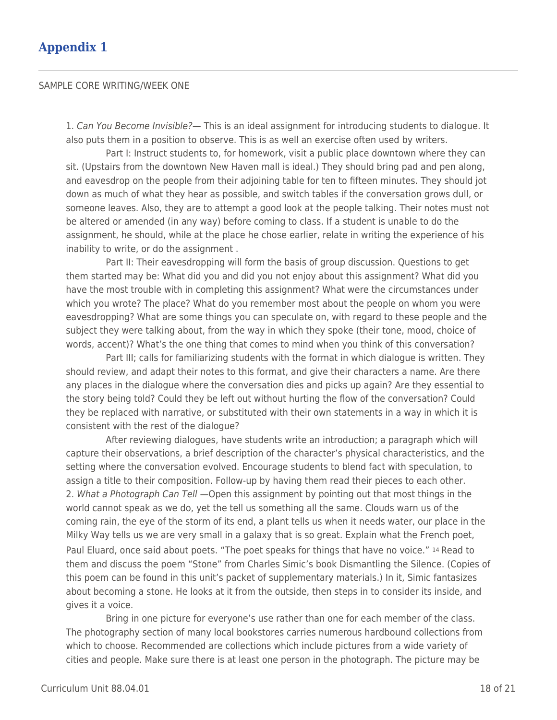#### SAMPLE CORE WRITING/WEEK ONE

1. Can You Become Invisible?— This is an ideal assignment for introducing students to dialogue. It also puts them in a position to observe. This is as well an exercise often used by writers.

Part I: Instruct students to, for homework, visit a public place downtown where they can sit. (Upstairs from the downtown New Haven mall is ideal.) They should bring pad and pen along, and eavesdrop on the people from their adjoining table for ten to fifteen minutes. They should jot down as much of what they hear as possible, and switch tables if the conversation grows dull, or someone leaves. Also, they are to attempt a good look at the people talking. Their notes must not be altered or amended (in any way) before coming to class. If a student is unable to do the assignment, he should, while at the place he chose earlier, relate in writing the experience of his inability to write, or do the assignment .

Part II: Their eavesdropping will form the basis of group discussion. Questions to get them started may be: What did you and did you not enjoy about this assignment? What did you have the most trouble with in completing this assignment? What were the circumstances under which you wrote? The place? What do you remember most about the people on whom you were eavesdropping? What are some things you can speculate on, with regard to these people and the subject they were talking about, from the way in which they spoke (their tone, mood, choice of words, accent)? What's the one thing that comes to mind when you think of this conversation?

Part III; calls for familiarizing students with the format in which dialogue is written. They should review, and adapt their notes to this format, and give their characters a name. Are there any places in the dialogue where the conversation dies and picks up again? Are they essential to the story being told? Could they be left out without hurting the flow of the conversation? Could they be replaced with narrative, or substituted with their own statements in a way in which it is consistent with the rest of the dialogue?

After reviewing dialogues, have students write an introduction; a paragraph which will capture their observations, a brief description of the character's physical characteristics, and the setting where the conversation evolved. Encourage students to blend fact with speculation, to assign a title to their composition. Follow-up by having them read their pieces to each other. 2. What a Photograph Can Tell —Open this assignment by pointing out that most things in the world cannot speak as we do, yet the tell us something all the same. Clouds warn us of the coming rain, the eye of the storm of its end, a plant tells us when it needs water, our place in the Milky Way tells us we are very small in a galaxy that is so great. Explain what the French poet, Paul Eluard, once said about poets. "The poet speaks for things that have no voice." 14 Read to them and discuss the poem "Stone" from Charles Simic's book Dismantling the Silence. (Copies of this poem can be found in this unit's packet of supplementary materials.) In it, Simic fantasizes about becoming a stone. He looks at it from the outside, then steps in to consider its inside, and gives it a voice.

Bring in one picture for everyone's use rather than one for each member of the class. The photography section of many local bookstores carries numerous hardbound collections from which to choose. Recommended are collections which include pictures from a wide variety of cities and people. Make sure there is at least one person in the photograph. The picture may be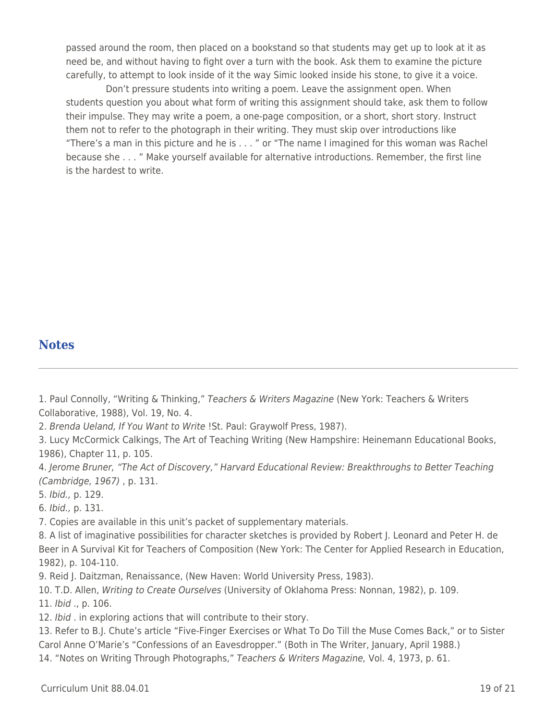passed around the room, then placed on a bookstand so that students may get up to look at it as need be, and without having to fight over a turn with the book. Ask them to examine the picture carefully, to attempt to look inside of it the way Simic looked inside his stone, to give it a voice.

Don't pressure students into writing a poem. Leave the assignment open. When students question you about what form of writing this assignment should take, ask them to follow their impulse. They may write a poem, a one-page composition, or a short, short story. Instruct them not to refer to the photograph in their writing. They must skip over introductions like "There's a man in this picture and he is . . . " or "The name I imagined for this woman was Rachel because she . . . " Make yourself available for alternative introductions. Remember, the first line is the hardest to write.

### **Notes**

1. Paul Connolly, "Writing & Thinking," Teachers & Writers Magazine (New York: Teachers & Writers Collaborative, 1988), Vol. 19, No. 4.

2. Brenda Ueland, If You Want to Write !St. Paul: Graywolf Press, 1987).

3. Lucy McCormick Calkings, The Art of Teaching Writing (New Hampshire: Heinemann Educational Books, 1986), Chapter 11, p. 105.

4. Jerome Bruner, "The Act of Discovery," Harvard Educational Review: Breakthroughs to Better Teaching (Cambridge, 1967) , p. 131.

5. Ibid., p. 129.

6. Ibid., p. 131.

7. Copies are available in this unit's packet of supplementary materials.

8. A list of imaginative possibilities for character sketches is provided by Robert J. Leonard and Peter H. de Beer in A Survival Kit for Teachers of Composition (New York: The Center for Applied Research in Education, 1982), p. 104-110.

9. Reid J. Daitzman, Renaissance, (New Haven: World University Press, 1983).

10. T.D. Allen, Writing to Create Ourselves (University of Oklahoma Press: Nonnan, 1982), p. 109.

11. Ibid ., p. 106.

12. Ibid . in exploring actions that will contribute to their story.

13. Refer to B.J. Chute's article "Five-Finger Exercises or What To Do Till the Muse Comes Back," or to Sister Carol Anne O'Marie's "Confessions of an Eavesdropper." (Both in The Writer, January, April 1988.)

14. "Notes on Writing Through Photographs," Teachers & Writers Magazine, Vol. 4, 1973, p. 61.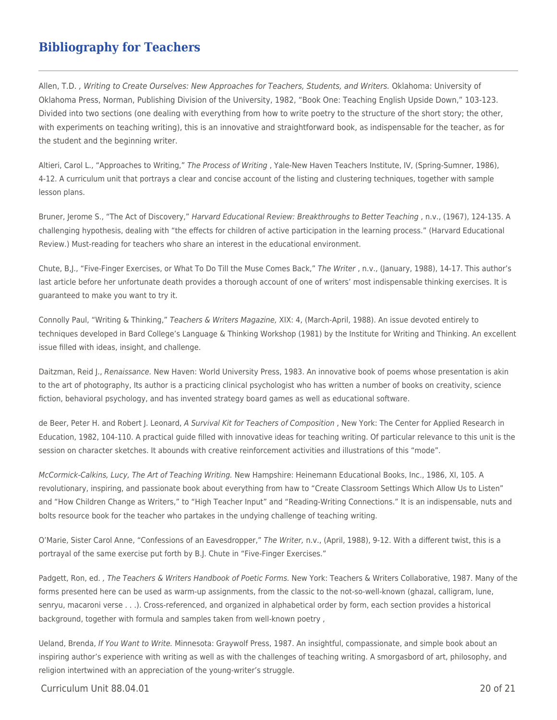## **Bibliography for Teachers**

Allen, T.D. , Writing to Create Ourselves: New Approaches for Teachers, Students, and Writers. Oklahoma: University of Oklahoma Press, Norman, Publishing Division of the University, 1982, "Book One: Teaching English Upside Down," 103-123. Divided into two sections (one dealing with everything from how to write poetry to the structure of the short story; the other, with experiments on teaching writing), this is an innovative and straightforward book, as indispensable for the teacher, as for the student and the beginning writer.

Altieri, Carol L., "Approaches to Writing," The Process of Writing, Yale-New Haven Teachers Institute, IV, (Spring-Sumner, 1986), 4-12. A curriculum unit that portrays a clear and concise account of the listing and clustering techniques, together with sample lesson plans.

Bruner, Jerome S., "The Act of Discovery," Harvard Educational Review: Breakthroughs to Better Teaching , n.v., (1967), 124-135. A challenging hypothesis, dealing with "the effects for children of active participation in the learning process." (Harvard Educational Review.) Must-reading for teachers who share an interest in the educational environment.

Chute, B,J., "Five-Finger Exercises, or What To Do Till the Muse Comes Back," The Writer , n.v., (January, 1988), 14-17. This author's last article before her unfortunate death provides a thorough account of one of writers' most indispensable thinking exercises. It is guaranteed to make you want to try it.

Connolly Paul, "Writing & Thinking," Teachers & Writers Magazine, XIX: 4, (March-April, 1988). An issue devoted entirely to techniques developed in Bard College's Language & Thinking Workshop (1981) by the Institute for Writing and Thinking. An excellent issue filled with ideas, insight, and challenge.

Daitzman, Reid J., Renaissance. New Haven: World University Press, 1983. An innovative book of poems whose presentation is akin to the art of photography, Its author is a practicing clinical psychologist who has written a number of books on creativity, science fiction, behavioral psychology, and has invented strategy board games as well as educational software.

de Beer, Peter H. and Robert J. Leonard, A Survival Kit for Teachers of Composition, New York: The Center for Applied Research in Education, 1982, 104-110. A practical guide filled with innovative ideas for teaching writing. Of particular relevance to this unit is the session on character sketches. It abounds with creative reinforcement activities and illustrations of this "mode".

McCormick-Calkins, Lucy, The Art of Teaching Writing. New Hampshire: Heinemann Educational Books, Inc., 1986, XI, 105. A revolutionary, inspiring, and passionate book about everything from haw to "Create Classroom Settings Which Allow Us to Listen" and "How Children Change as Writers," to "High Teacher Input" and "Reading-Writing Connections." It is an indispensable, nuts and bolts resource book for the teacher who partakes in the undying challenge of teaching writing.

O'Marie, Sister Carol Anne, "Confessions of an Eavesdropper," The Writer, n.v., (April, 1988), 9-12. With a different twist, this is a portrayal of the same exercise put forth by B.J. Chute in "Five-Finger Exercises."

Padgett, Ron, ed., The Teachers & Writers Handbook of Poetic Forms. New York: Teachers & Writers Collaborative, 1987. Many of the forms presented here can be used as warm-up assignments, from the classic to the not-so-well-known (ghazal, calligram, lune, senryu, macaroni verse . . .). Cross-referenced, and organized in alphabetical order by form, each section provides a historical background, together with formula and samples taken from well-known poetry ,

Ueland, Brenda, If You Want to Write. Minnesota: Graywolf Press, 1987. An insightful, compassionate, and simple book about an inspiring author's experience with writing as well as with the challenges of teaching writing. A smorgasbord of art, philosophy, and religion intertwined with an appreciation of the young-writer's struggle.

Curriculum Unit 88.04.01 20 of 21